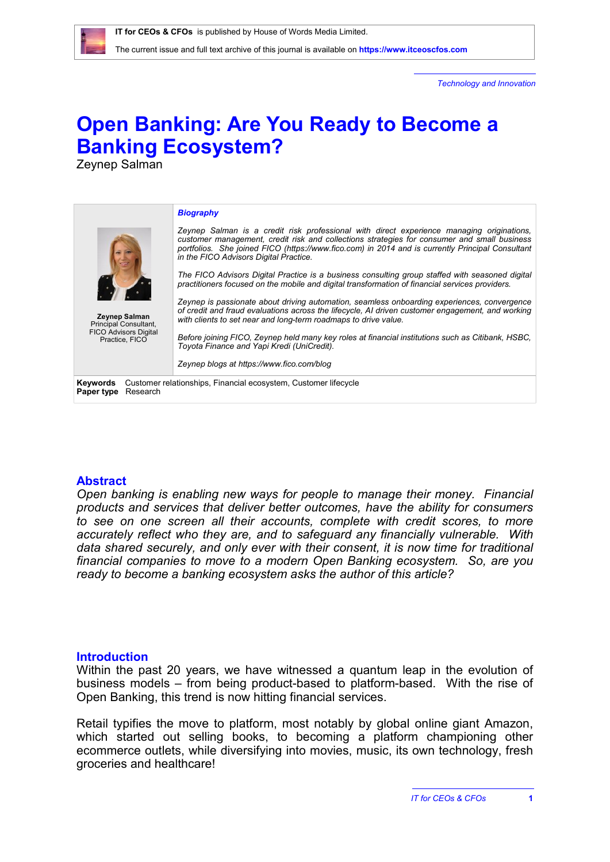The current issue and full text archive of this journal is available on **<https://www.itceoscfos.com>** 

*Technology and Innovation*

# **Open Banking: Are You Ready to Become a Banking Ecosystem?**

Zeynep Salman

| <b>Zeynep Salman</b><br>Principal Consultant,<br><b>FICO Advisors Digital</b><br>Practice, FICO | <b>Biography</b><br>Zeynep Salman is a credit risk professional with direct experience managing originations,<br>customer management, credit risk and collections strategies for consumer and small business<br>portfolios. She joined FICO (https://www.fico.com) in 2014 and is currently Principal Consultant<br>in the FICO Advisors Digital Practice.<br>The FICO Advisors Digital Practice is a business consulting group staffed with seasoned digital<br>practitioners focused on the mobile and digital transformation of financial services providers.<br>Zeynep is passionate about driving automation, seamless onboarding experiences, convergence<br>of credit and fraud evaluations across the lifecycle. AI driven customer engagement, and working<br>with clients to set near and long-term roadmaps to drive value.<br>Before joining FICO, Zeynep held many key roles at financial institutions such as Citibank, HSBC,<br>Toyota Finance and Yapi Kredi (UniCredit).<br>Zeynep blogs at https://www.fico.com/blog |
|-------------------------------------------------------------------------------------------------|----------------------------------------------------------------------------------------------------------------------------------------------------------------------------------------------------------------------------------------------------------------------------------------------------------------------------------------------------------------------------------------------------------------------------------------------------------------------------------------------------------------------------------------------------------------------------------------------------------------------------------------------------------------------------------------------------------------------------------------------------------------------------------------------------------------------------------------------------------------------------------------------------------------------------------------------------------------------------------------------------------------------------------------|
| Keywords<br>Research<br>Paper type                                                              | Customer relationships, Financial ecosystem, Customer lifecycle                                                                                                                                                                                                                                                                                                                                                                                                                                                                                                                                                                                                                                                                                                                                                                                                                                                                                                                                                                        |

## **Abstract**

*Open banking is enabling new ways for people to manage their money. Financial products and services that deliver better outcomes, have the ability for consumers to see on one screen all their accounts, complete with credit scores, to more accurately reflect who they are, and to safeguard any financially vulnerable. With data shared securely, and only ever with their consent, it is now time for traditional financial companies to move to a modern Open Banking ecosystem. So, are you ready to become a banking ecosystem asks the author of this article?*

## **Introduction**

Within the past 20 years, we have witnessed a quantum leap in the evolution of business models – from being product-based to platform-based. With the rise of Open Banking, this trend is now hitting financial services.

Retail typifies the move to platform, most notably by global online giant Amazon, which started out selling books, to becoming a platform championing other ecommerce outlets, while diversifying into movies, music, its own technology, fresh groceries and healthcare!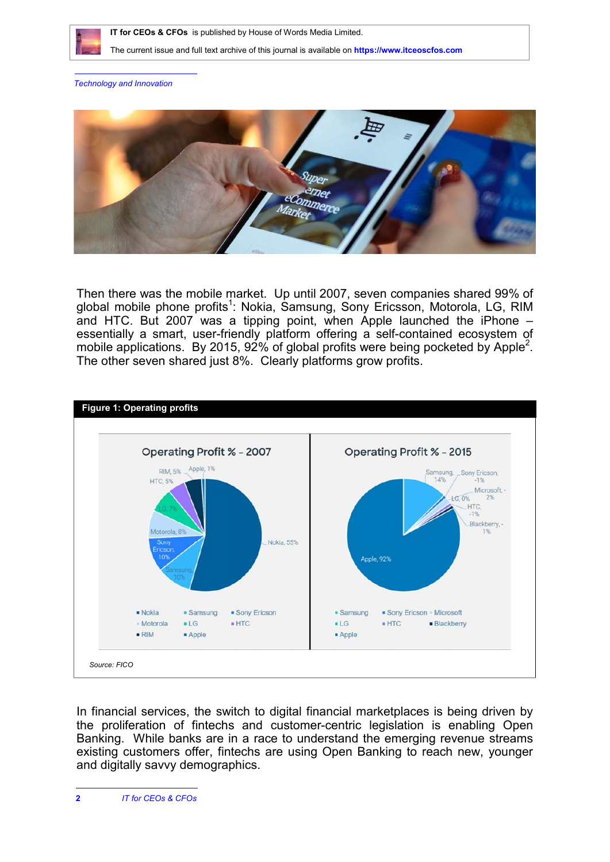

 **IT for CEOs & CFOs** is published by House of Words Media Limited.

The current issue and full text archive of this journal is available on **<https://www.itceoscfos.com>** 

*Technology and Innovation*



Then there was the mobile market. Up until 2007, seven companies shared 99% of global mobile phone profits<sup>1</sup>: Nokia, Samsung, Sony Ericsson, Motorola, LG, RIM and HTC. But 2007 was a tipping point, when Apple launched the iPhone – essentially a smart, user-friendly platform offering a self-contained ecosystem of mobile applications. By 2015, 92% of global profits were being pocketed by Apple<sup>2</sup>. The other seven shared just 8%. Clearly platforms grow profits.



In financial services, the switch to digital financial marketplaces is being driven by the proliferation of fintechs and customer-centric legislation is enabling Open Banking. While banks are in a race to understand the emerging revenue streams existing customers offer, fintechs are using Open Banking to reach new, younger and digitally savvy demographics.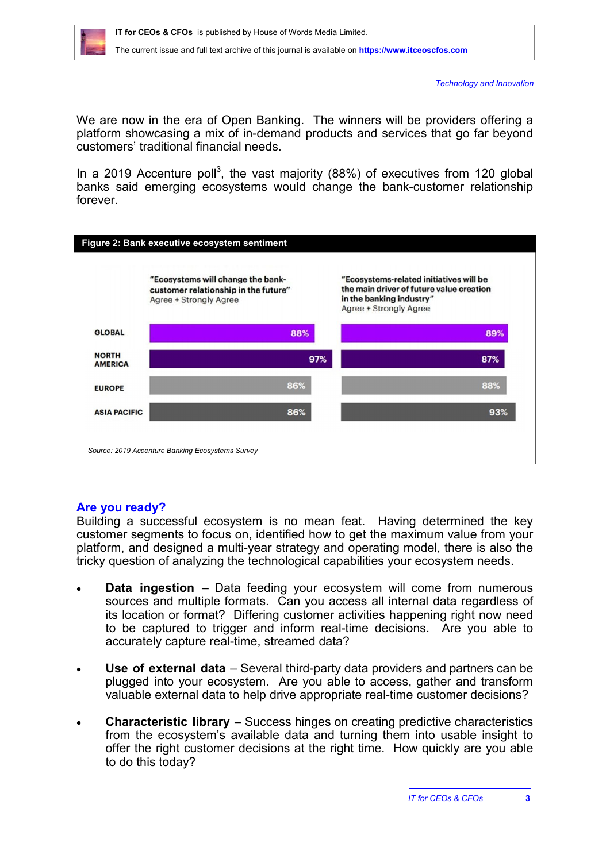

The current issue and full text archive of this journal is available on **<https://www.itceoscfos.com>** 

*Technology and Innovation*

We are now in the era of Open Banking. The winners will be providers offering a platform showcasing a mix of in-demand products and services that go far beyond customers' traditional financial needs.

In a 2019 Accenture poll<sup>3</sup>, the vast majority (88%) of executives from 120 global banks said emerging ecosystems would change the bank-customer relationship forever.



# **Are you ready?**

Building a successful ecosystem is no mean feat. Having determined the key customer segments to focus on, identified how to get the maximum value from your platform, and designed a multi-year strategy and operating model, there is also the tricky question of analyzing the technological capabilities your ecosystem needs.

- **Data ingestion** Data feeding your ecosystem will come from numerous sources and multiple formats. Can you access all internal data regardless of its location or format? Differing customer activities happening right now need to be captured to trigger and inform real-time decisions. Are you able to accurately capture real-time, streamed data?
- **Use of external data** Several third-party data providers and partners can be plugged into your ecosystem. Are you able to access, gather and transform valuable external data to help drive appropriate real-time customer decisions?
- **Characteristic library** Success hinges on creating predictive characteristics from the ecosystem's available data and turning them into usable insight to offer the right customer decisions at the right time. How quickly are you able to do this today?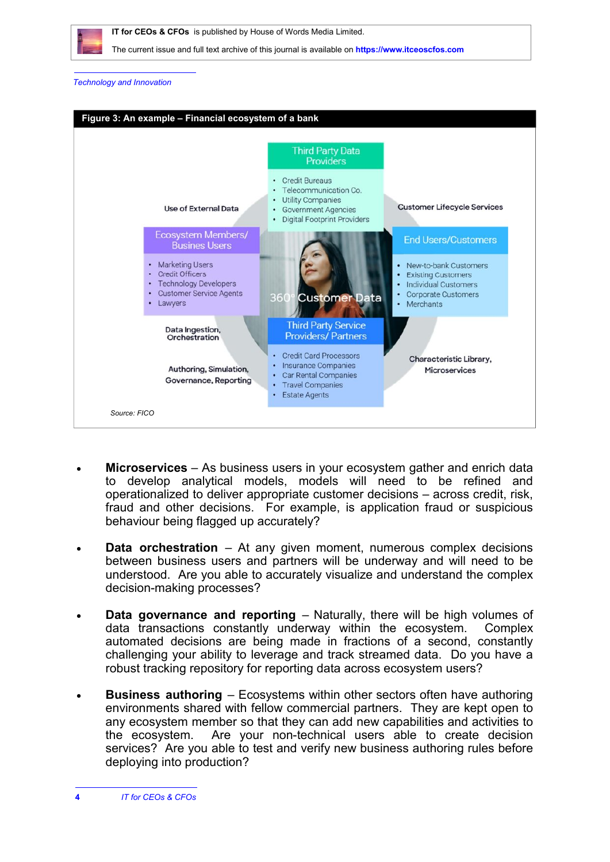

 **IT for CEOs & CFOs** is published by House of Words Media Limited.

The current issue and full text archive of this journal is available on **<https://www.itceoscfos.com>** 

### *Technology and Innovation*



- **Microservices** As business users in your ecosystem gather and enrich data to develop analytical models, models will need to be refined and operationalized to deliver appropriate customer decisions – across credit, risk, fraud and other decisions. For example, is application fraud or suspicious behaviour being flagged up accurately?
- **Data orchestration** At any given moment, numerous complex decisions between business users and partners will be underway and will need to be understood. Are you able to accurately visualize and understand the complex decision-making processes?
- **Data governance and reporting** Naturally, there will be high volumes of data transactions constantly underway within the ecosystem. Complex automated decisions are being made in fractions of a second, constantly challenging your ability to leverage and track streamed data. Do you have a robust tracking repository for reporting data across ecosystem users?
- **Business authoring** Ecosystems within other sectors often have authoring environments shared with fellow commercial partners. They are kept open to any ecosystem member so that they can add new capabilities and activities to the ecosystem. Are your non-technical users able to create decision services? Are you able to test and verify new business authoring rules before deploying into production?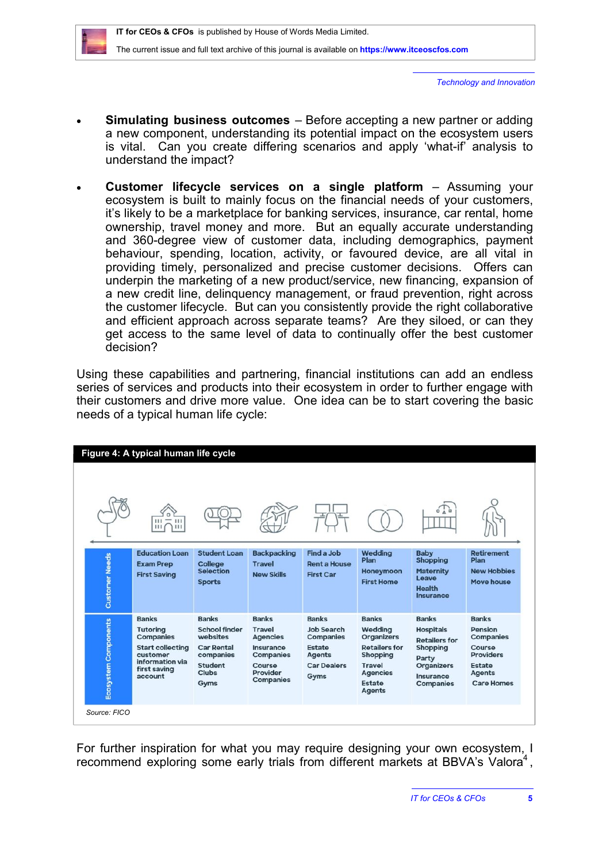*Technology and Innovation*

- **Simulating business outcomes** Before accepting a new partner or adding a new component, understanding its potential impact on the ecosystem users is vital. Can you create differing scenarios and apply 'what-if' analysis to understand the impact?
- **Customer lifecycle services on a single platform** Assuming your ecosystem is built to mainly focus on the financial needs of your customers, it's likely to be a marketplace for banking services, insurance, car rental, home ownership, travel money and more. But an equally accurate understanding and 360-degree view of customer data, including demographics, payment behaviour, spending, location, activity, or favoured device, are all vital in providing timely, personalized and precise customer decisions. Offers can underpin the marketing of a new product/service, new financing, expansion of a new credit line, delinquency management, or fraud prevention, right across the customer lifecycle. But can you consistently provide the right collaborative and efficient approach across separate teams? Are they siloed, or can they get access to the same level of data to continually offer the best customer decision?

Using these capabilities and partnering, financial institutions can add an endless series of services and products into their ecosystem in order to further engage with their customers and drive more value. One idea can be to start covering the basic needs of a typical human life cycle:

| Figure 4: A typical human life cycle | 111<br>111                                                                                                                               |                                                                                                                       |                                                                                                                             |                                                                                                         |                                                                                                                                                 |                                                                                                                                     |                                                                                                                                  |
|--------------------------------------|------------------------------------------------------------------------------------------------------------------------------------------|-----------------------------------------------------------------------------------------------------------------------|-----------------------------------------------------------------------------------------------------------------------------|---------------------------------------------------------------------------------------------------------|-------------------------------------------------------------------------------------------------------------------------------------------------|-------------------------------------------------------------------------------------------------------------------------------------|----------------------------------------------------------------------------------------------------------------------------------|
| <b>Customer Needs</b>                | <b>Education Loan</b><br><b>Exam Prep</b><br><b>First Saving</b>                                                                         | <b>Student Loan</b><br><b>College</b><br><b>Selection</b><br><b>Sports</b>                                            | <b>Backpacking</b><br><b>Travel</b><br><b>New Skills</b>                                                                    | Find a Job<br><b>Rent a House</b><br><b>First Car</b>                                                   | Wedding<br><b>Plan</b><br>Honeymoon<br><b>First Home</b>                                                                                        | <b>Baby</b><br><b>Shopping</b><br><b>Maternity</b><br>Leave<br><b>Health</b><br>Insurance                                           | <b>Retirement</b><br>Plan<br><b>New Hobbies</b><br>Move house                                                                    |
| Ecosystem Components                 | <b>Banks</b><br><b>Tutoring</b><br><b>Companies</b><br><b>Start collecting</b><br>customer<br>information via<br>first saving<br>account | <b>Banks</b><br><b>School finder</b><br>websites<br><b>Car Rental</b><br>companies<br>Student<br><b>Clubs</b><br>Gyms | <b>Banks</b><br><b>Travel</b><br><b>Agencies</b><br>Insurance<br><b>Companies</b><br>Course<br>Provider<br><b>Companies</b> | <b>Banks</b><br>Job Search<br><b>Companies</b><br>Estate<br><b>Agents</b><br><b>Car Dealers</b><br>Gyms | <b>Banks</b><br>Wedding<br><b>Organizers</b><br><b>Retailers for</b><br>Shopping<br><b>Travel</b><br><b>Agencies</b><br>Estate<br><b>Agents</b> | <b>Banks</b><br><b>Hospitals</b><br><b>Retailers for</b><br>Shopping<br>Party<br><b>Organizers</b><br>Insurance<br><b>Companies</b> | <b>Banks</b><br>Pension<br><b>Companies</b><br>Course<br><b>Providers</b><br><b>Estate</b><br><b>Agents</b><br><b>Care Homes</b> |

For further inspiration for what you may require designing your own ecosystem, I recommend exploring some early trials from different markets at BBVA's Valora<sup>4</sup>,